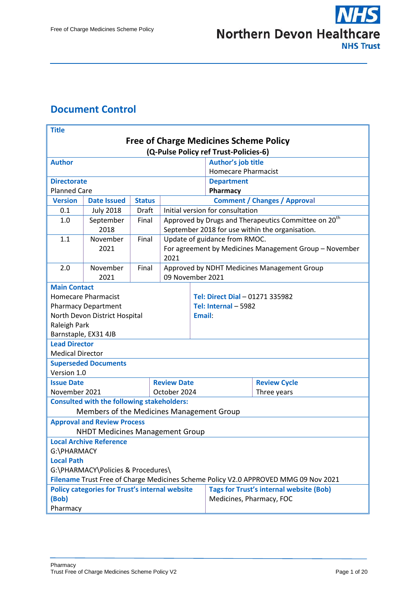#### <span id="page-0-0"></span>**Document Control**

| <b>Title</b>                                                                        |                                                       |               |                           |                          |                                     |                                                                  |  |
|-------------------------------------------------------------------------------------|-------------------------------------------------------|---------------|---------------------------|--------------------------|-------------------------------------|------------------------------------------------------------------|--|
| <b>Free of Charge Medicines Scheme Policy</b>                                       |                                                       |               |                           |                          |                                     |                                                                  |  |
| (Q-Pulse Policy ref Trust-Policies-6)                                               |                                                       |               |                           |                          |                                     |                                                                  |  |
| <b>Author</b>                                                                       |                                                       |               | <b>Author's job title</b> |                          |                                     |                                                                  |  |
|                                                                                     |                                                       |               |                           |                          | <b>Homecare Pharmacist</b>          |                                                                  |  |
| <b>Directorate</b>                                                                  |                                                       |               |                           |                          | <b>Department</b>                   |                                                                  |  |
| <b>Planned Care</b>                                                                 |                                                       |               |                           |                          | Pharmacy                            |                                                                  |  |
| <b>Version</b>                                                                      | <b>Date Issued</b>                                    | <b>Status</b> |                           |                          | <b>Comment / Changes / Approval</b> |                                                                  |  |
| 0.1                                                                                 | <b>July 2018</b>                                      | Draft         |                           |                          | Initial version for consultation    |                                                                  |  |
| 1.0                                                                                 | September                                             | Final         |                           |                          |                                     | Approved by Drugs and Therapeutics Committee on 20 <sup>th</sup> |  |
|                                                                                     | 2018                                                  |               |                           |                          |                                     | September 2018 for use within the organisation.                  |  |
| 1.1                                                                                 | November                                              | Final         |                           |                          | Update of guidance from RMOC.       |                                                                  |  |
|                                                                                     | 2021                                                  |               | 2021                      |                          |                                     | For agreement by Medicines Management Group - November           |  |
| 2.0                                                                                 | November                                              | Final         |                           |                          |                                     | Approved by NDHT Medicines Management Group                      |  |
|                                                                                     | 2021                                                  |               | 09 November 2021          |                          |                                     |                                                                  |  |
| <b>Main Contact</b>                                                                 |                                                       |               |                           |                          |                                     |                                                                  |  |
|                                                                                     | <b>Homecare Pharmacist</b>                            |               |                           |                          | Tel: Direct Dial - 01271 335982     |                                                                  |  |
|                                                                                     | <b>Pharmacy Department</b>                            |               |                           |                          | Tel: Internal - 5982                |                                                                  |  |
| North Devon District Hospital<br>Email:                                             |                                                       |               |                           |                          |                                     |                                                                  |  |
| Raleigh Park                                                                        |                                                       |               |                           |                          |                                     |                                                                  |  |
| Barnstaple, EX31 4JB                                                                |                                                       |               |                           |                          |                                     |                                                                  |  |
| <b>Lead Director</b><br><b>Medical Director</b>                                     |                                                       |               |                           |                          |                                     |                                                                  |  |
|                                                                                     | <b>Superseded Documents</b>                           |               |                           |                          |                                     |                                                                  |  |
| Version 1.0                                                                         |                                                       |               |                           |                          |                                     |                                                                  |  |
| <b>Review Date</b><br><b>Issue Date</b>                                             |                                                       |               |                           |                          | <b>Review Cycle</b>                 |                                                                  |  |
| November 2021<br>October 2024                                                       |                                                       |               |                           | Three years              |                                     |                                                                  |  |
|                                                                                     | <b>Consulted with the following stakeholders:</b>     |               |                           |                          |                                     |                                                                  |  |
| Members of the Medicines Management Group                                           |                                                       |               |                           |                          |                                     |                                                                  |  |
| <b>Approval and Review Process</b>                                                  |                                                       |               |                           |                          |                                     |                                                                  |  |
| <b>NHDT Medicines Management Group</b>                                              |                                                       |               |                           |                          |                                     |                                                                  |  |
| <b>Local Archive Reference</b>                                                      |                                                       |               |                           |                          |                                     |                                                                  |  |
| G:\PHARMACY                                                                         |                                                       |               |                           |                          |                                     |                                                                  |  |
| <b>Local Path</b>                                                                   |                                                       |               |                           |                          |                                     |                                                                  |  |
| G:\PHARMACY\Policies & Procedures\                                                  |                                                       |               |                           |                          |                                     |                                                                  |  |
| Filename Trust Free of Charge Medicines Scheme Policy V2.0 APPROVED MMG 09 Nov 2021 |                                                       |               |                           |                          |                                     |                                                                  |  |
|                                                                                     | <b>Policy categories for Trust's internal website</b> |               |                           |                          |                                     | <b>Tags for Trust's internal website (Bob)</b>                   |  |
| (Bob)                                                                               |                                                       |               |                           | Medicines, Pharmacy, FOC |                                     |                                                                  |  |
| Pharmacy                                                                            |                                                       |               |                           |                          |                                     |                                                                  |  |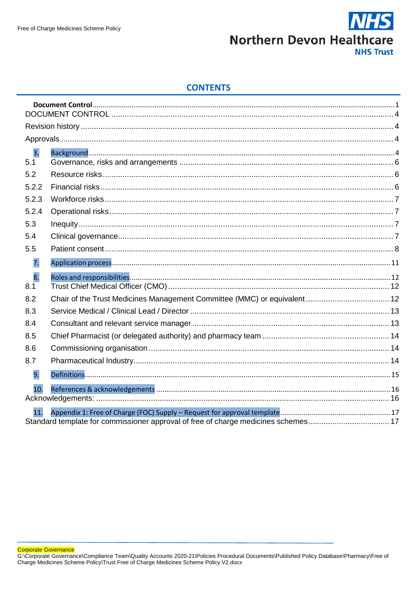

#### **CONTENTS**

| 3.    |  |
|-------|--|
| 5.1   |  |
| 5.2   |  |
| 5.2.2 |  |
| 5.2.3 |  |
| 5.2.4 |  |
| 5.3   |  |
| 5.4   |  |
| 5.5   |  |
| 7.    |  |
| 8.    |  |
| 8.1   |  |
| 8.2   |  |
| 8.3   |  |
| 8.4   |  |
| 8.5   |  |
| 8.6   |  |
| 8.7   |  |
| 9.    |  |
| 10.   |  |
|       |  |
| 11    |  |
|       |  |

Corporate Governance<br>G:\Corporate Governance\Compliance Team\Quality Accounts 2020-21\Policies Procedural Documents\Published Policy Database\Pharmacy\Free of<br>Charge Medicines Scheme Policy\Trust Free of Charge Medicines S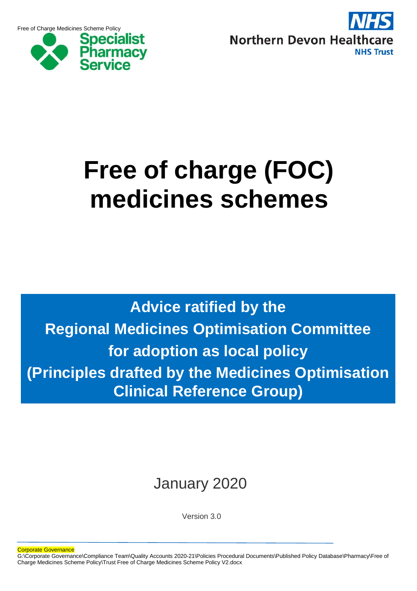Free of Charge Medicines Scheme Policy



![](_page_2_Picture_2.jpeg)

## **Free of charge (FOC) medicines schemes**

**Advice ratified by the Regional Medicines Optimisation Committee for adoption as local policy (Principles drafted by the Medicines Optimisation Clinical Reference Group)**

### January 2020

Version 3.0

Corporate Governance

G:\Corporate Governance\Compliance Team\Quality Accounts 2020-21\Policies Procedural Documents\Published Policy Database\Pharmacy\Free of Charge Medicines Scheme Policy\Trust Free of Charge Medicines Scheme Policy V2.docx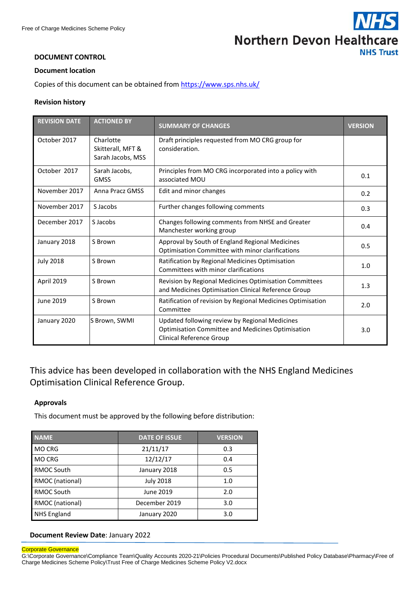![](_page_3_Picture_1.jpeg)

#### <span id="page-3-0"></span>**DOCUMENT CONTROL**

#### **Document location**

Copies of this document can be obtained from <https://www.sps.nhs.uk/>

#### <span id="page-3-1"></span>**Revision history**

| <b>REVISION DATE</b> | <b>ACTIONED BY</b>                                  | <b>SUMMARY OF CHANGES</b>                                                                                                       | <b>VERSION</b> |
|----------------------|-----------------------------------------------------|---------------------------------------------------------------------------------------------------------------------------------|----------------|
| October 2017         | Charlotte<br>Skitterall, MFT &<br>Sarah Jacobs, MSS | Draft principles requested from MO CRG group for<br>consideration.                                                              |                |
| October 2017         | Sarah Jacobs,<br><b>GMSS</b>                        | Principles from MO CRG incorporated into a policy with<br>associated MOU                                                        | 0.1            |
| November 2017        | Anna Pracz GMSS                                     | Edit and minor changes                                                                                                          | 0.2            |
| November 2017        | S Jacobs                                            | Further changes following comments                                                                                              | 0.3            |
| December 2017        | S Jacobs                                            | Changes following comments from NHSE and Greater<br>Manchester working group                                                    | 0.4            |
| January 2018         | S Brown                                             | Approval by South of England Regional Medicines<br>Optimisation Committee with minor clarifications                             | 0.5            |
| <b>July 2018</b>     | S Brown                                             | Ratification by Regional Medicines Optimisation<br>Committees with minor clarifications                                         | 1.0            |
| April 2019           | S Brown                                             | Revision by Regional Medicines Optimisation Committees<br>and Medicines Optimisation Clinical Reference Group                   | 1.3            |
| June 2019            | S Brown                                             | Ratification of revision by Regional Medicines Optimisation<br>Committee                                                        | 2.0            |
| January 2020         | S Brown, SWMI                                       | Updated following review by Regional Medicines<br>Optimisation Committee and Medicines Optimisation<br>Clinical Reference Group | 3.0            |

This advice has been developed in collaboration with the NHS England Medicines Optimisation Clinical Reference Group.

#### <span id="page-3-2"></span>**Approvals**

This document must be approved by the following before distribution:

| <b>NAME</b>        | <b>DATE OF ISSUE</b> | <b>VERSION</b> |  |
|--------------------|----------------------|----------------|--|
| <b>MO CRG</b>      | 21/11/17             | 0.3            |  |
| <b>MO CRG</b>      | 12/12/17             | 0.4            |  |
| RMOC South         | January 2018         | 0.5            |  |
| RMOC (national)    | <b>July 2018</b>     | 1.0            |  |
| RMOC South         | June 2019            | 2.0            |  |
| RMOC (national)    | December 2019        | 3.0            |  |
| <b>NHS England</b> | January 2020         | 3.0            |  |

#### **Document Review Date**: January 2022

#### Corporate Governance

G:\Corporate Governance\Compliance Team\Quality Accounts 2020-21\Policies Procedural Documents\Published Policy Database\Pharmacy\Free of Charge Medicines Scheme Policy\Trust Free of Charge Medicines Scheme Policy V2.docx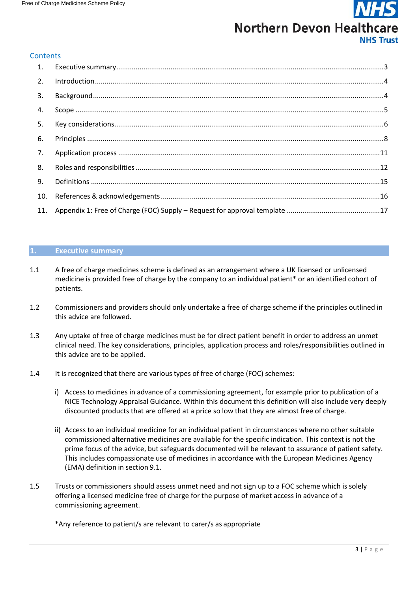#### **Contents**

| $\mathbf{1}$ . |  |
|----------------|--|
| 2.             |  |
| 3.             |  |
| 4.             |  |
| 5.             |  |
| 6.             |  |
| 7.             |  |
| 8.             |  |
| 9.             |  |
| 10.            |  |
|                |  |

#### <span id="page-4-0"></span>**1. Executive summary**

- 1.1 A free of charge medicines scheme is defined as an arrangement where a UK licensed or unlicensed medicine is provided free of charge by the company to an individual patient\* or an identified cohort of patients.
- 1.2 Commissioners and providers should only undertake a free of charge scheme if the principles outlined in this advice are followed.
- 1.3 Any uptake of free of charge medicines must be for direct patient benefit in order to address an unmet clinical need. The key considerations, principles, application process and roles/responsibilities outlined in this advice are to be applied.
- 1.4 It is recognized that there are various types of free of charge (FOC) schemes:
	- i) Access to medicines in advance of a commissioning agreement, for example prior to publication of a NICE Technology Appraisal Guidance. Within this document this definition will also include very deeply discounted products that are offered at a price so low that they are almost free of charge.
	- ii) Access to an individual medicine for an individual patient in circumstances where no other suitable commissioned alternative medicines are available for the specific indication. This context is not the prime focus of the advice, but safeguards documented will be relevant to assurance of patient safety. This includes compassionate use of medicines in accordance with the European Medicines Agency (EMA) definition in section 9.1.
- 1.5 Trusts or commissioners should assess unmet need and not sign up to a FOC scheme which is solely offering a licensed medicine free of charge for the purpose of market access in advance of a commissioning agreement.

\*Any reference to patient/s are relevant to carer/s as appropriate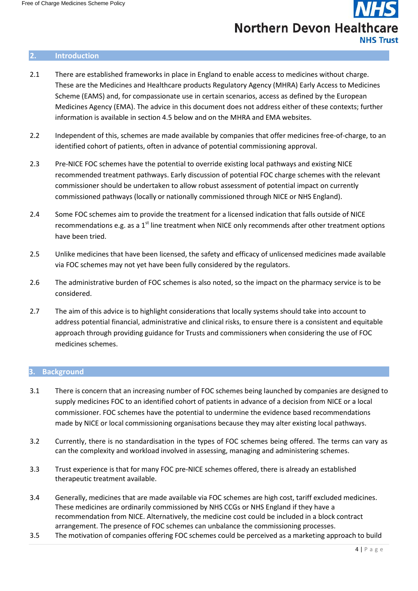### **Northern Devon Healthcare NHS Trust**

#### <span id="page-5-1"></span>**2. Introduction**

- 2.1 There are established frameworks in place in England to enable access to medicines without charge. These are the Medicines and Healthcare products Regulatory Agency (MHRA) Early Access to Medicines Scheme (EAMS) and, for compassionate use in certain scenarios, access as defined by the European Medicines Agency (EMA). The advice in this document does not address either of these contexts; further information is available in section 4.5 below and on the MHRA and EMA websites.
- 2.2 Independent of this, schemes are made available by companies that offer medicines free-of-charge, to an identified cohort of patients, often in advance of potential commissioning approval.
- 2.3 Pre-NICE FOC schemes have the potential to override existing local pathways and existing NICE recommended treatment pathways. Early discussion of potential FOC charge schemes with the relevant commissioner should be undertaken to allow robust assessment of potential impact on currently commissioned pathways (locally or nationally commissioned through NICE or NHS England).
- 2.4 Some FOC schemes aim to provide the treatment for a licensed indication that falls outside of NICE recommendations e.g. as a  $1<sup>st</sup>$  line treatment when NICE only recommends after other treatment options have been tried.
- 2.5 Unlike medicines that have been licensed, the safety and efficacy of unlicensed medicines made available via FOC schemes may not yet have been fully considered by the regulators.
- 2.6 The administrative burden of FOC schemes is also noted, so the impact on the pharmacy service is to be considered.
- 2.7 The aim of this advice is to highlight considerations that locally systems should take into account to address potential financial, administrative and clinical risks, to ensure there is a consistent and equitable approach through providing guidance for Trusts and commissioners when considering the use of FOC medicines schemes.

#### <span id="page-5-0"></span>**3. Background**

- 3.1 There is concern that an increasing number of FOC schemes being launched by companies are designed to supply medicines FOC to an identified cohort of patients in advance of a decision from NICE or a local commissioner. FOC schemes have the potential to undermine the evidence based recommendations made by NICE or local commissioning organisations because they may alter existing local pathways.
- 3.2 Currently, there is no standardisation in the types of FOC schemes being offered. The terms can vary as can the complexity and workload involved in assessing, managing and administering schemes.
- 3.3 Trust experience is that for many FOC pre-NICE schemes offered, there is already an established therapeutic treatment available.
- 3.4 Generally, medicines that are made available via FOC schemes are high cost, tariff excluded medicines. These medicines are ordinarily commissioned by NHS CCGs or NHS England if they have a recommendation from NICE. Alternatively, the medicine cost could be included in a block contract arrangement. The presence of FOC schemes can unbalance the commissioning processes.
- 3.5 The motivation of companies offering FOC schemes could be perceived as a marketing approach to build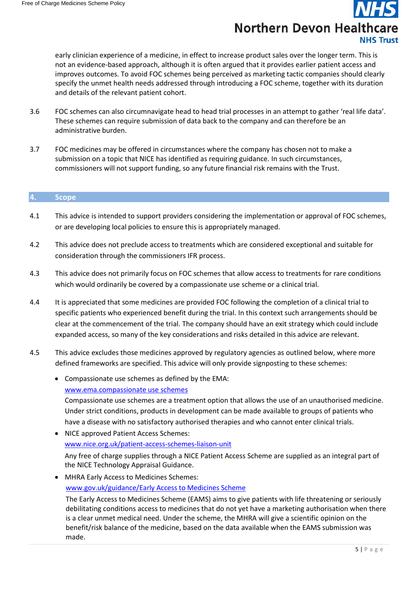early clinician experience of a medicine, in effect to increase product sales over the longer term. This is not an evidence-based approach, although it is often argued that it provides earlier patient access and improves outcomes. To avoid FOC schemes being perceived as marketing tactic companies should clearly specify the unmet health needs addressed through introducing a FOC scheme, together with its duration and details of the relevant patient cohort.

- 3.6 FOC schemes can also circumnavigate head to head trial processes in an attempt to gather 'real life data'. These schemes can require submission of data back to the company and can therefore be an administrative burden.
- 3.7 FOC medicines may be offered in circumstances where the company has chosen not to make a submission on a topic that NICE has identified as requiring guidance. In such circumstances, commissioners will not support funding, so any future financial risk remains with the Trust.

#### **4. Scope**

- 4.1 This advice is intended to support providers considering the implementation or approval of FOC schemes, or are developing local policies to ensure this is appropriately managed.
- 4.2 This advice does not preclude access to treatments which are considered exceptional and suitable for consideration through the commissioners IFR process.
- 4.3 This advice does not primarily focus on FOC schemes that allow access to treatments for rare conditions which would ordinarily be covered by a compassionate use scheme or a clinical trial.
- 4.4 It is appreciated that some medicines are provided FOC following the completion of a clinical trial to specific patients who experienced benefit during the trial. In this context such arrangements should be clear at the commencement of the trial. The company should have an exit strategy which could include expanded access, so many of the key considerations and risks detailed in this advice are relevant.
- 4.5 This advice excludes those medicines approved by regulatory agencies as outlined below, where more defined frameworks are specified. This advice will only provide signposting to these schemes:
	- Compassionate use schemes as defined by the EMA: [www.ema.compassionate](http://www.ema.compassionateuseschemes/) use schemes Compassionate use schemes are a treatment option that allows the use of an unauthorised medicine. Under strict conditions, products in development can be made available to groups of patients who have a disease with no satisfactory authorised therapies and who cannot enter clinical trials. NICE approved Patient Access Schemes: [www.nice.org.uk/patient-access-schemes-liaison-unit](http://www.nice.org.uk/patient-access-schemes-liaison-unit)
		- Any free of charge supplies through a NICE Patient Access Scheme are supplied as an integral part of the NICE Technology Appraisal Guidance.
	- MHRA Early Access to Medicines Schemes: [www.gov.uk/guidance/Early](https://www.gov.uk/guidance/apply-for-the-early-access-to-medicines-scheme-eams) Access to Medicines Scheme

The Early Access to Medicines Scheme (EAMS) aims to give patients with life threatening or seriously debilitating conditions access to medicines that do not yet have a marketing authorisation when there is a clear unmet medical need. Under the scheme, the MHRA will give a scientific opinion on the benefit/risk balance of the medicine, based on the data available when the EAMS submission was made.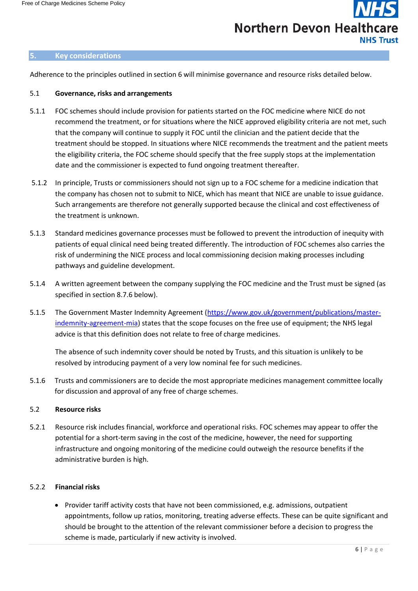### **Northern Devon Healthcare NHS Trust**

#### **5. Key considerations**

Adherence to the principles outlined in section 6 will minimise governance and resource risks detailed below.

#### <span id="page-7-0"></span>5.1 **Governance, risks and arrangements**

- 5.1.1 FOC schemes should include provision for patients started on the FOC medicine where NICE do not recommend the treatment, or for situations where the NICE approved eligibility criteria are not met, such that the company will continue to supply it FOC until the clinician and the patient decide that the treatment should be stopped. In situations where NICE recommends the treatment and the patient meets the eligibility criteria, the FOC scheme should specify that the free supply stops at the implementation date and the commissioner is expected to fund ongoing treatment thereafter.
- 5.1.2 In principle, Trusts or commissioners should not sign up to a FOC scheme for a medicine indication that the company has chosen not to submit to NICE, which has meant that NICE are unable to issue guidance. Such arrangements are therefore not generally supported because the clinical and cost effectiveness of the treatment is unknown.
- 5.1.3 Standard medicines governance processes must be followed to prevent the introduction of inequity with patients of equal clinical need being treated differently. The introduction of FOC schemes also carries the risk of undermining the NICE process and local commissioning decision making processes including pathways and guideline development.
- 5.1.4 A written agreement between the company supplying the FOC medicine and the Trust must be signed (as specified in section 8.7.6 below).
- 5.1.5 The Government Master Indemnity Agreement [\(https://www.gov.uk/government/publications/master](https://www.gov.uk/government/publications/master-indemnity-agreement-mia)[indemnity-agreement-mia\)](https://www.gov.uk/government/publications/master-indemnity-agreement-mia) states that the scope focuses on the free use of equipment; the NHS legal advice is that this definition does not relate to free of charge medicines.

The absence of such indemnity cover should be noted by Trusts, and this situation is unlikely to be resolved by introducing payment of a very low nominal fee for such medicines.

5.1.6 Trusts and commissioners are to decide the most appropriate medicines management committee locally for discussion and approval of any free of charge schemes.

#### <span id="page-7-1"></span>5.2 **Resource risks**

5.2.1 Resource risk includes financial, workforce and operational risks. FOC schemes may appear to offer the potential for a short-term saving in the cost of the medicine, however, the need for supporting infrastructure and ongoing monitoring of the medicine could outweigh the resource benefits if the administrative burden is high.

#### <span id="page-7-2"></span>5.2.2 **Financial risks**

• Provider tariff activity costs that have not been commissioned, e.g. admissions, outpatient appointments, follow up ratios, monitoring, treating adverse effects. These can be quite significant and should be brought to the attention of the relevant commissioner before a decision to progress the scheme is made, particularly if new activity is involved.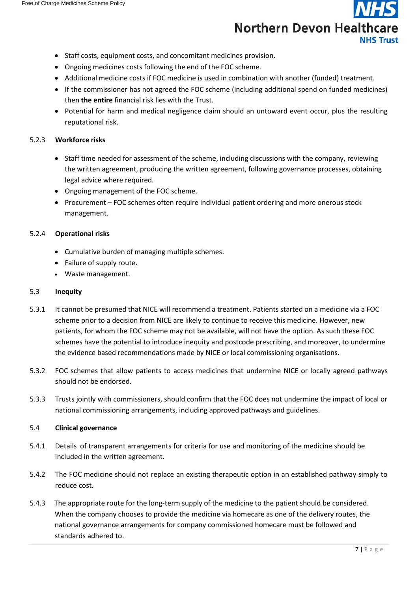- Staff costs, equipment costs, and concomitant medicines provision.
- Ongoing medicines costs following the end of the FOC scheme.
- Additional medicine costs if FOC medicine is used in combination with another (funded) treatment.
- If the commissioner has not agreed the FOC scheme (including additional spend on funded medicines) then **the entire** financial risk lies with the Trust.
- Potential for harm and medical negligence claim should an untoward event occur, plus the resulting reputational risk.

#### <span id="page-8-0"></span>5.2.3 **Workforce risks**

- Staff time needed for assessment of the scheme, including discussions with the company, reviewing the written agreement, producing the written agreement, following governance processes, obtaining legal advice where required.
- Ongoing management of the FOC scheme.
- Procurement FOC schemes often require individual patient ordering and more onerous stock management.

#### <span id="page-8-1"></span>5.2.4 **Operational risks**

- Cumulative burden of managing multiple schemes.
- Failure of supply route.
- Waste management.

#### <span id="page-8-2"></span>5.3 **Inequity**

- 5.3.1 It cannot be presumed that NICE will recommend a treatment. Patients started on a medicine via a FOC scheme prior to a decision from NICE are likely to continue to receive this medicine. However, new patients, for whom the FOC scheme may not be available, will not have the option. As such these FOC schemes have the potential to introduce inequity and postcode prescribing, and moreover, to undermine the evidence based recommendations made by NICE or local commissioning organisations.
- 5.3.2 FOC schemes that allow patients to access medicines that undermine NICE or locally agreed pathways should not be endorsed.
- 5.3.3 Trusts jointly with commissioners, should confirm that the FOC does not undermine the impact of local or national commissioning arrangements, including approved pathways and guidelines.

#### <span id="page-8-3"></span>5.4 **Clinical governance**

- 5.4.1 Details of transparent arrangements for criteria for use and monitoring of the medicine should be included in the written agreement.
- 5.4.2 The FOC medicine should not replace an existing therapeutic option in an established pathway simply to reduce cost.
- 5.4.3 The appropriate route for the long-term supply of the medicine to the patient should be considered. When the company chooses to provide the medicine via homecare as one of the delivery routes, the national governance arrangements for company commissioned homecare must be followed and standards adhered to.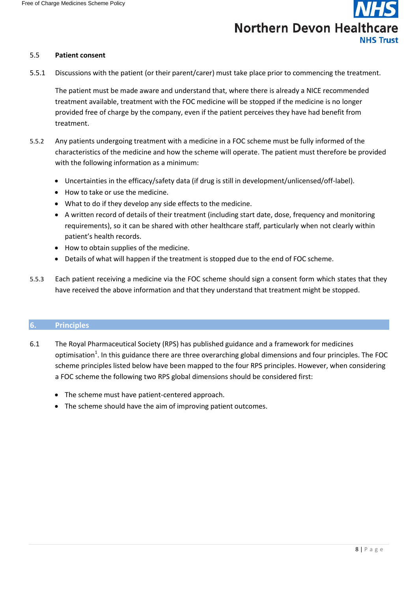#### <span id="page-9-0"></span>5.5 **Patient consent**

5.5.1 Discussions with the patient (or their parent/carer) must take place prior to commencing the treatment.

The patient must be made aware and understand that, where there is already a NICE recommended treatment available, treatment with the FOC medicine will be stopped if the medicine is no longer provided free of charge by the company, even if the patient perceives they have had benefit from treatment.

- 5.5.2 Any patients undergoing treatment with a medicine in a FOC scheme must be fully informed of the characteristics of the medicine and how the scheme will operate. The patient must therefore be provided with the following information as a minimum:
	- Uncertainties in the efficacy/safety data (if drug is still in development/unlicensed/off-label).
	- How to take or use the medicine.
	- What to do if they develop any side effects to the medicine.
	- A written record of details of their treatment (including start date, dose, frequency and monitoring requirements), so it can be shared with other healthcare staff, particularly when not clearly within patient's health records.
	- How to obtain supplies of the medicine.
	- Details of what will happen if the treatment is stopped due to the end of FOC scheme.
- 5.5.3 Each patient receiving a medicine via the FOC scheme should sign a consent form which states that they have received the above information and that they understand that treatment might be stopped.

#### **6. Principles**

- 6.1 The Royal Pharmaceutical Society (RPS) has published guidance and a framework for medicines optimisation<sup>1</sup>. In this guidance there are three overarching global dimensions and four principles. The FOC scheme principles listed below have been mapped to the four RPS principles. However, when considering a FOC scheme the following two RPS global dimensions should be considered first:
	- The scheme must have patient-centered approach.
	- The scheme should have the aim of improving patient outcomes.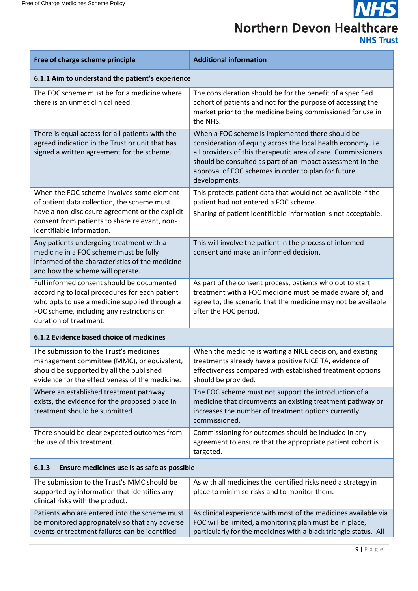**NHS Northern Devon Healthcare NHS Trust** 

| Free of charge scheme principle                                                                                                                                                                                           | <b>Additional information</b>                                                                                                                                                                                                                                                                                            |  |  |  |
|---------------------------------------------------------------------------------------------------------------------------------------------------------------------------------------------------------------------------|--------------------------------------------------------------------------------------------------------------------------------------------------------------------------------------------------------------------------------------------------------------------------------------------------------------------------|--|--|--|
| 6.1.1 Aim to understand the patient's experience                                                                                                                                                                          |                                                                                                                                                                                                                                                                                                                          |  |  |  |
| The FOC scheme must be for a medicine where<br>there is an unmet clinical need.                                                                                                                                           | The consideration should be for the benefit of a specified<br>cohort of patients and not for the purpose of accessing the<br>market prior to the medicine being commissioned for use in<br>the NHS.                                                                                                                      |  |  |  |
| There is equal access for all patients with the<br>agreed indication in the Trust or unit that has<br>signed a written agreement for the scheme.                                                                          | When a FOC scheme is implemented there should be<br>consideration of equity across the local health economy. i.e.<br>all providers of this therapeutic area of care. Commissioners<br>should be consulted as part of an impact assessment in the<br>approval of FOC schemes in order to plan for future<br>developments. |  |  |  |
| When the FOC scheme involves some element<br>of patient data collection, the scheme must<br>have a non-disclosure agreement or the explicit<br>consent from patients to share relevant, non-<br>identifiable information. | This protects patient data that would not be available if the<br>patient had not entered a FOC scheme.<br>Sharing of patient identifiable information is not acceptable.                                                                                                                                                 |  |  |  |
| Any patients undergoing treatment with a<br>medicine in a FOC scheme must be fully<br>informed of the characteristics of the medicine<br>and how the scheme will operate.                                                 | This will involve the patient in the process of informed<br>consent and make an informed decision.                                                                                                                                                                                                                       |  |  |  |
| Full informed consent should be documented<br>according to local procedures for each patient<br>who opts to use a medicine supplied through a<br>FOC scheme, including any restrictions on<br>duration of treatment.      | As part of the consent process, patients who opt to start<br>treatment with a FOC medicine must be made aware of, and<br>agree to, the scenario that the medicine may not be available<br>after the FOC period.                                                                                                          |  |  |  |
| 6.1.2 Evidence based choice of medicines                                                                                                                                                                                  |                                                                                                                                                                                                                                                                                                                          |  |  |  |
| The submission to the Trust's medicines<br>management committee (MMC), or equivalent,<br>should be supported by all the published<br>evidence for the effectiveness of the medicine.                                      | When the medicine is waiting a NICE decision, and existing<br>treatments already have a positive NICE TA, evidence of<br>effectiveness compared with established treatment options<br>should be provided.                                                                                                                |  |  |  |
| Where an established treatment pathway<br>exists, the evidence for the proposed place in<br>treatment should be submitted.                                                                                                | The FOC scheme must not support the introduction of a<br>medicine that circumvents an existing treatment pathway or<br>increases the number of treatment options currently<br>commissioned.                                                                                                                              |  |  |  |
| There should be clear expected outcomes from<br>the use of this treatment.                                                                                                                                                | Commissioning for outcomes should be included in any<br>agreement to ensure that the appropriate patient cohort is<br>targeted.                                                                                                                                                                                          |  |  |  |
| Ensure medicines use is as safe as possible<br>6.1.3                                                                                                                                                                      |                                                                                                                                                                                                                                                                                                                          |  |  |  |
| The submission to the Trust's MMC should be<br>supported by information that identifies any<br>clinical risks with the product.                                                                                           | As with all medicines the identified risks need a strategy in<br>place to minimise risks and to monitor them.                                                                                                                                                                                                            |  |  |  |
| Patients who are entered into the scheme must<br>be monitored appropriately so that any adverse<br>events or treatment failures can be identified                                                                         | As clinical experience with most of the medicines available via<br>FOC will be limited, a monitoring plan must be in place,<br>particularly for the medicines with a black triangle status. All                                                                                                                          |  |  |  |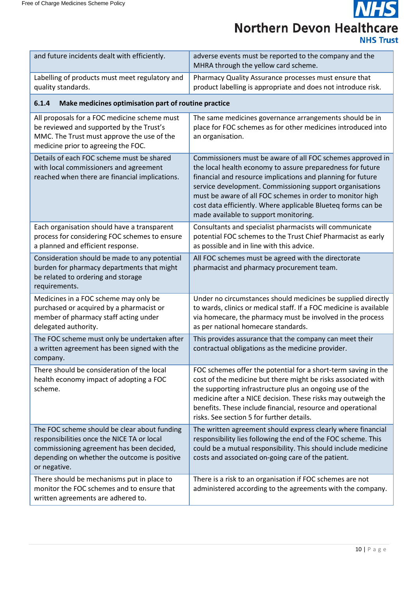**NHS Northern Devon Healthcare NHS Trust** 

| and future incidents dealt with efficiently.                                                                                                                                                            | adverse events must be reported to the company and the<br>MHRA through the yellow card scheme.                                                                                                                                                                                                                                                                                                                            |  |  |  |
|---------------------------------------------------------------------------------------------------------------------------------------------------------------------------------------------------------|---------------------------------------------------------------------------------------------------------------------------------------------------------------------------------------------------------------------------------------------------------------------------------------------------------------------------------------------------------------------------------------------------------------------------|--|--|--|
| Labelling of products must meet regulatory and<br>quality standards.                                                                                                                                    | Pharmacy Quality Assurance processes must ensure that<br>product labelling is appropriate and does not introduce risk.                                                                                                                                                                                                                                                                                                    |  |  |  |
| Make medicines optimisation part of routine practice<br>6.1.4                                                                                                                                           |                                                                                                                                                                                                                                                                                                                                                                                                                           |  |  |  |
| All proposals for a FOC medicine scheme must<br>be reviewed and supported by the Trust's<br>MMC. The Trust must approve the use of the<br>medicine prior to agreeing the FOC.                           | The same medicines governance arrangements should be in<br>place for FOC schemes as for other medicines introduced into<br>an organisation.                                                                                                                                                                                                                                                                               |  |  |  |
| Details of each FOC scheme must be shared<br>with local commissioners and agreement<br>reached when there are financial implications.                                                                   | Commissioners must be aware of all FOC schemes approved in<br>the local health economy to assure preparedness for future<br>financial and resource implications and planning for future<br>service development. Commissioning support organisations<br>must be aware of all FOC schemes in order to monitor high<br>cost data efficiently. Where applicable Blueteg forms can be<br>made available to support monitoring. |  |  |  |
| Each organisation should have a transparent<br>process for considering FOC schemes to ensure<br>a planned and efficient response.                                                                       | Consultants and specialist pharmacists will communicate<br>potential FOC schemes to the Trust Chief Pharmacist as early<br>as possible and in line with this advice.                                                                                                                                                                                                                                                      |  |  |  |
| Consideration should be made to any potential<br>burden for pharmacy departments that might<br>be related to ordering and storage<br>requirements.                                                      | All FOC schemes must be agreed with the directorate<br>pharmacist and pharmacy procurement team.                                                                                                                                                                                                                                                                                                                          |  |  |  |
| Medicines in a FOC scheme may only be<br>purchased or acquired by a pharmacist or<br>member of pharmacy staff acting under<br>delegated authority.                                                      | Under no circumstances should medicines be supplied directly<br>to wards, clinics or medical staff. If a FOC medicine is available<br>via homecare, the pharmacy must be involved in the process<br>as per national homecare standards.                                                                                                                                                                                   |  |  |  |
| The FOC scheme must only be undertaken after<br>a written agreement has been signed with the<br>company.                                                                                                | This provides assurance that the company can meet their<br>contractual obligations as the medicine provider.                                                                                                                                                                                                                                                                                                              |  |  |  |
| There should be consideration of the local<br>health economy impact of adopting a FOC<br>scheme.                                                                                                        | FOC schemes offer the potential for a short-term saving in the<br>cost of the medicine but there might be risks associated with<br>the supporting infrastructure plus an ongoing use of the<br>medicine after a NICE decision. These risks may outweigh the<br>benefits. These include financial, resource and operational<br>risks. See section 5 for further details.                                                   |  |  |  |
| The FOC scheme should be clear about funding<br>responsibilities once the NICE TA or local<br>commissioning agreement has been decided,<br>depending on whether the outcome is positive<br>or negative. | The written agreement should express clearly where financial<br>responsibility lies following the end of the FOC scheme. This<br>could be a mutual responsibility. This should include medicine<br>costs and associated on-going care of the patient.                                                                                                                                                                     |  |  |  |
| There should be mechanisms put in place to<br>monitor the FOC schemes and to ensure that<br>written agreements are adhered to.                                                                          | There is a risk to an organisation if FOC schemes are not<br>administered according to the agreements with the company.                                                                                                                                                                                                                                                                                                   |  |  |  |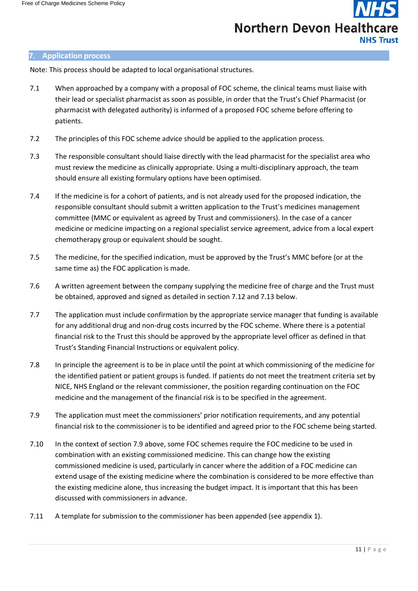#### <span id="page-12-1"></span><span id="page-12-0"></span>**7. Application process**

Note: This process should be adapted to local organisational structures.

- 7.1 When approached by a company with a proposal of FOC scheme, the clinical teams must liaise with their lead or specialist pharmacist as soon as possible, in order that the Trust's Chief Pharmacist (or pharmacist with delegated authority) is informed of a proposed FOC scheme before offering to patients.
- 7.2 The principles of this FOC scheme advice should be applied to the application process.
- 7.3 The responsible consultant should liaise directly with the lead pharmacist for the specialist area who must review the medicine as clinically appropriate. Using a multi-disciplinary approach, the team should ensure all existing formulary options have been optimised.
- 7.4 If the medicine is for a cohort of patients, and is not already used for the proposed indication, the responsible consultant should submit a written application to the Trust's medicines management committee (MMC or equivalent as agreed by Trust and commissioners). In the case of a cancer medicine or medicine impacting on a regional specialist service agreement, advice from a local expert chemotherapy group or equivalent should be sought.
- 7.5 The medicine, for the specified indication, must be approved by the Trust's MMC before (or at the same time as) the FOC application is made.
- 7.6 A written agreement between the company supplying the medicine free of charge and the Trust must be obtained, approved and signed as detailed in section 7.12 and 7.13 below.
- 7.7 The application must include confirmation by the appropriate service manager that funding is available for any additional drug and non-drug costs incurred by the FOC scheme. Where there is a potential financial risk to the Trust this should be approved by the appropriate level officer as defined in that Trust's Standing Financial Instructions or equivalent policy.
- 7.8 In principle the agreement is to be in place until the point at which commissioning of the medicine for the identified patient or patient groups is funded. If patients do not meet the treatment criteria set by NICE, NHS England or the relevant commissioner, the position regarding continuation on the FOC medicine and the management of the financial risk is to be specified in the agreement.
- 7.9 The application must meet the commissioners' prior notification requirements, and any potential financial risk to the commissioner is to be identified and agreed prior to the FOC scheme being started.
- 7.10 In the context of section 7.9 above, some FOC schemes require the FOC medicine to be used in combination with an existing commissioned medicine. This can change how the existing commissioned medicine is used, particularly in cancer where the addition of a FOC medicine can extend usage of the existing medicine where the combination is considered to be more effective than the existing medicine alone, thus increasing the budget impact. It is important that this has been discussed with commissioners in advance.
- 7.11 A template for submission to the commissioner has been appended (see appendix 1).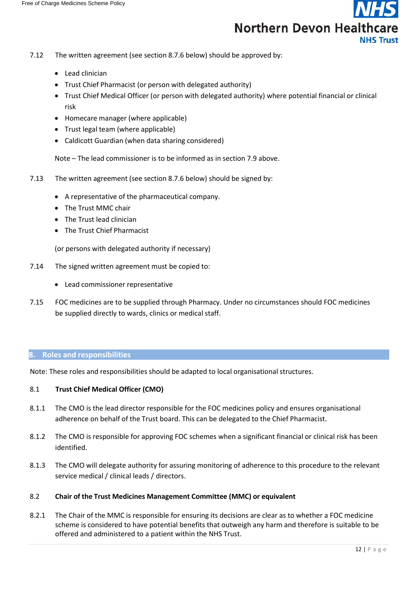- 7.12 The written agreement (see section 8.7.6 below) should be approved by:
	- Lead clinician
	- Trust Chief Pharmacist (or person with delegated authority)
	- Trust Chief Medical Officer (or person with delegated authority) where potential financial or clinical risk
	- Homecare manager (where applicable)
	- Trust legal team (where applicable)
	- Caldicott Guardian (when data sharing considered)

Note – The lead commissioner is to be informed as in section 7.9 above.

- 7.13 The written agreement (see section 8.7.6 below) should be signed by:
	- A representative of the pharmaceutical company.
	- The Trust MMC chair
	- The Trust lead clinician
	- The Trust Chief Pharmacist

(or persons with delegated authority if necessary)

- 7.14 The signed written agreement must be copied to:
	- Lead commissioner representative
- 7.15 FOC medicines are to be supplied through Pharmacy. Under no circumstances should FOC medicines be supplied directly to wards, clinics or medical staff.

#### <span id="page-13-0"></span>**8. Roles and responsibilities**

Note: These roles and responsibilities should be adapted to local organisational structures.

#### <span id="page-13-1"></span>8.1 **Trust Chief Medical Officer (CMO)**

- 8.1.1 The CMO is the lead director responsible for the FOC medicines policy and ensures organisational adherence on behalf of the Trust board. This can be delegated to the Chief Pharmacist.
- 8.1.2 The CMO is responsible for approving FOC schemes when a significant financial or clinical risk has been identified.
- 8.1.3 The CMO will delegate authority for assuring monitoring of adherence to this procedure to the relevant service medical / clinical leads / directors.
- <span id="page-13-2"></span>8.2 **Chair of the Trust Medicines Management Committee (MMC) or equivalent**
- 8.2.1 The Chair of the MMC is responsible for ensuring its decisions are clear as to whether a FOC medicine scheme is considered to have potential benefits that outweigh any harm and therefore is suitable to be offered and administered to a patient within the NHS Trust.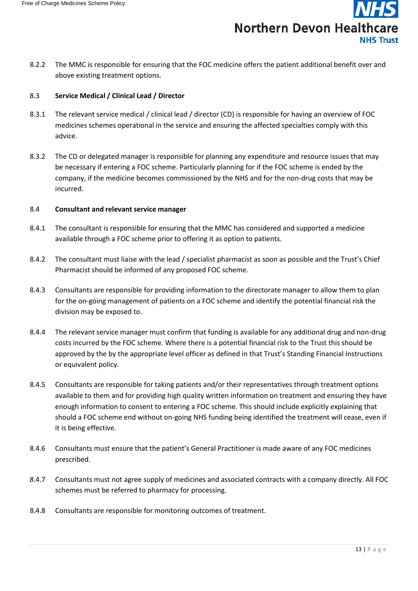![](_page_14_Picture_1.jpeg)

8.2.2 The MMC is responsible for ensuring that the FOC medicine offers the patient additional benefit over and above existing treatment options.

#### <span id="page-14-0"></span>8.3 **Service Medical / Clinical Lead / Director**

- 8.3.1 The relevant service medical / clinical lead / director (CD) is responsible for having an overview of FOC medicines schemes operational in the service and ensuring the affected specialties comply with this advice.
- 8.3.2 The CD or delegated manager is responsible for planning any expenditure and resource issues that may be necessary if entering a FOC scheme. Particularly planning for if the FOC scheme is ended by the company, if the medicine becomes commissioned by the NHS and for the non-drug costs that may be incurred.

#### <span id="page-14-1"></span>8.4 **Consultant and relevant service manager**

- 8.4.1 The consultant is responsible for ensuring that the MMC has considered and supported a medicine available through a FOC scheme prior to offering it as option to patients.
- 8.4.2 The consultant must liaise with the lead / specialist pharmacist as soon as possible and the Trust's Chief Pharmacist should be informed of any proposed FOC scheme.
- 8.4.3 Consultants are responsible for providing information to the directorate manager to allow them to plan for the on-going management of patients on a FOC scheme and identify the potential financial risk the division may be exposed to.
- 8.4.4 The relevant service manager must confirm that funding is available for any additional drug and non-drug costs incurred by the FOC scheme. Where there is a potential financial risk to the Trust this should be approved by the by the appropriate level officer as defined in that Trust's Standing Financial Instructions or equivalent policy.
- 8.4.5 Consultants are responsible for taking patients and/or their representatives through treatment options available to them and for providing high quality written information on treatment and ensuring they have enough information to consent to entering a FOC scheme. This should include explicitly explaining that should a FOC scheme end without on-going NHS funding being identified the treatment will cease, even if it is being effective.
- 8.4.6 Consultants must ensure that the patient's General Practitioner is made aware of any FOC medicines prescribed.
- 8.4.7 Consultants must not agree supply of medicines and associated contracts with a company directly. All FOC schemes must be referred to pharmacy for processing.
- 8.4.8 Consultants are responsible for monitoring outcomes of treatment.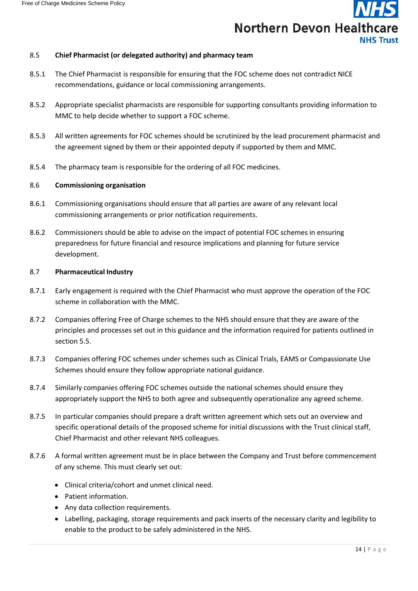#### <span id="page-15-0"></span>8.5 **Chief Pharmacist (or delegated authority) and pharmacy team**

- 8.5.1 The Chief Pharmacist is responsible for ensuring that the FOC scheme does not contradict NICE recommendations, guidance or local commissioning arrangements.
- 8.5.2 Appropriate specialist pharmacists are responsible for supporting consultants providing information to MMC to help decide whether to support a FOC scheme.
- 8.5.3 All written agreements for FOC schemes should be scrutinized by the lead procurement pharmacist and the agreement signed by them or their appointed deputy if supported by them and MMC.
- 8.5.4 The pharmacy team is responsible for the ordering of all FOC medicines.

#### <span id="page-15-1"></span>8.6 **Commissioning organisation**

- 8.6.1 Commissioning organisations should ensure that all parties are aware of any relevant local commissioning arrangements or prior notification requirements.
- 8.6.2 Commissioners should be able to advise on the impact of potential FOC schemes in ensuring preparedness for future financial and resource implications and planning for future service development.

#### <span id="page-15-2"></span>8.7 **Pharmaceutical Industry**

- 8.7.1 Early engagement is required with the Chief Pharmacist who must approve the operation of the FOC scheme in collaboration with the MMC.
- 8.7.2 Companies offering Free of Charge schemes to the NHS should ensure that they are aware of the principles and processes set out in this guidance and the information required for patients outlined in section 5.5.
- 8.7.3 Companies offering FOC schemes under schemes such as Clinical Trials, EAMS or Compassionate Use Schemes should ensure they follow appropriate national guidance.
- 8.7.4 Similarly companies offering FOC schemes outside the national schemes should ensure they appropriately support the NHS to both agree and subsequently operationalize any agreed scheme.
- 8.7.5 In particular companies should prepare a draft written agreement which sets out an overview and specific operational details of the proposed scheme for initial discussions with the Trust clinical staff, Chief Pharmacist and other relevant NHS colleagues.
- 8.7.6 A formal written agreement must be in place between the Company and Trust before commencement of any scheme. This must clearly set out:
	- Clinical criteria/cohort and unmet clinical need.
	- Patient information.
	- Any data collection requirements.
	- Labelling, packaging, storage requirements and pack inserts of the necessary clarity and legibility to enable to the product to be safely administered in the NHS.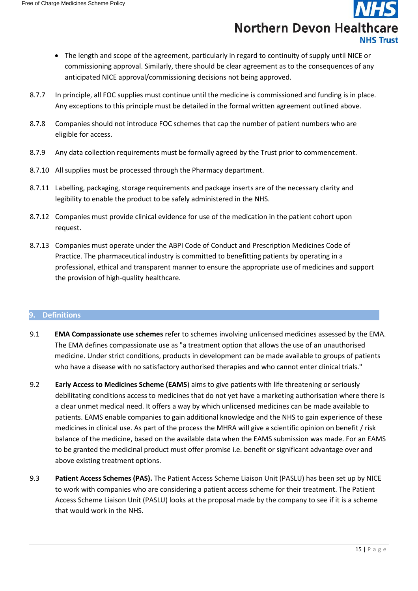- The length and scope of the agreement, particularly in regard to continuity of supply until NICE or commissioning approval. Similarly, there should be clear agreement as to the consequences of any anticipated NICE approval/commissioning decisions not being approved.
- 8.7.7 In principle, all FOC supplies must continue until the medicine is commissioned and funding is in place. Any exceptions to this principle must be detailed in the formal written agreement outlined above.
- 8.7.8 Companies should not introduce FOC schemes that cap the number of patient numbers who are eligible for access.
- 8.7.9 Any data collection requirements must be formally agreed by the Trust prior to commencement.
- 8.7.10 All supplies must be processed through the Pharmacy department.
- 8.7.11 Labelling, packaging, storage requirements and package inserts are of the necessary clarity and legibility to enable the product to be safely administered in the NHS.
- 8.7.12 Companies must provide clinical evidence for use of the medication in the patient cohort upon request.
- 8.7.13 Companies must operate under the ABPI Code of Conduct and Prescription Medicines Code of Practice. The pharmaceutical industry is committed to benefitting patients by operating in a professional, ethical and transparent manner to ensure the appropriate use of medicines and support the provision of high-quality healthcare.

#### <span id="page-16-0"></span>**9. Definitions**

- 9.1 **EMA Compassionate use schemes** refer to schemes involving unlicensed medicines assessed by the EMA. The EMA defines compassionate use as "a treatment option that allows the use of an unauthorised medicine. Under strict conditions, products in development can be made available to groups of patients who have a disease with no satisfactory authorised therapies and who cannot enter clinical trials."
- 9.2 **Early Access to Medicines Scheme (EAMS**) aims to give patients with life threatening or seriously debilitating conditions access to medicines that do not yet have a marketing authorisation where there is a clear unmet medical need. It offers a way by which unlicensed medicines can be made available to patients. EAMS enable companies to gain additional knowledge and the NHS to gain experience of these medicines in clinical use. As part of the process the MHRA will give a scientific opinion on benefit / risk balance of the medicine, based on the available data when the EAMS submission was made. For an EAMS to be granted the medicinal product must offer promise i.e. benefit or significant advantage over and above existing treatment options.
- 9.3 **Patient Access Schemes (PAS).** The Patient Access Scheme Liaison Unit (PASLU) has been set up by NICE to work with companies who are considering a patient access scheme for their treatment. The Patient Access Scheme Liaison Unit (PASLU) looks at the proposal made by the company to see if it is a scheme that would work in the NHS.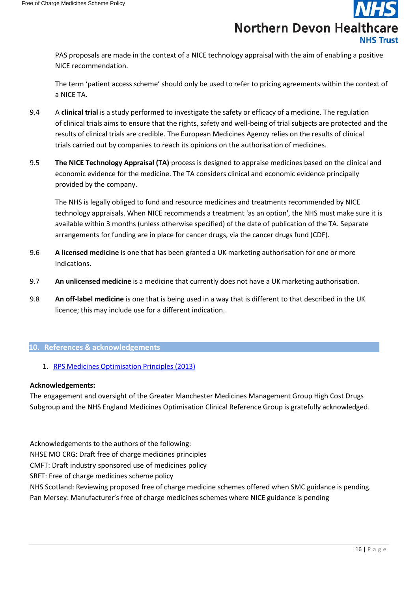PAS proposals are made in the context of a NICE technology appraisal with the aim of enabling a positive NICE recommendation.

The term 'patient access scheme' should only be used to refer to pricing agreements within the context of a NICE TA.

- 9.4 A **clinical trial** is a study performed to investigate the safety or efficacy of a medicine. The regulation of clinical trials aims to ensure that the rights, safety and well-being of trial subjects are protected and the results of clinical trials are credible. The European Medicines Agency relies on the results of clinical trials carried out by companies to reach its opinions on the authorisation of medicines.
- 9.5 **The NICE Technology Appraisal (TA)** process is designed to appraise medicines based on the clinical and economic evidence for the medicine. The TA considers clinical and economic evidence principally provided by the company.

The NHS is legally obliged to fund and resource medicines and treatments recommended by NICE technology appraisals. When NICE recommends a treatment 'as an option', the NHS must make sure it is available within 3 months (unless otherwise specified) of the date of publication of the TA. Separate arrangements for funding are in place for cancer drugs, via the cancer drugs fund (CDF).

- 9.6 **A licensed medicine** is one that has been granted a UK marketing authorisation for one or more indications.
- 9.7 **An unlicensed medicine** is a medicine that currently does not have a UK marketing authorisation.
- 9.8 **An off-label medicine** is one that is being used in a way that is different to that described in the UK licence; this may include use for a different indication.

#### <span id="page-17-0"></span>**10. References & acknowledgements**

1. RPS Medicines [Optimisation](https://www.rpharms.com/Portals/0/RPS%20document%20library/Open%20access/Policy/helping-patients-make-the-most-of-their-medicines.pdf) Principles (2013)

#### <span id="page-17-1"></span>**Acknowledgements:**

The engagement and oversight of the Greater Manchester Medicines Management Group High Cost Drugs Subgroup and the NHS England Medicines Optimisation Clinical Reference Group is gratefully acknowledged.

Acknowledgements to the authors of the following:

NHSE MO CRG: Draft free of charge medicines principles

CMFT: Draft industry sponsored use of medicines policy

SRFT: Free of charge medicines scheme policy

NHS Scotland: Reviewing proposed free of charge medicine schemes offered when SMC guidance is pending. Pan Mersey: Manufacturer's free of charge medicines schemes where NICE guidance is pending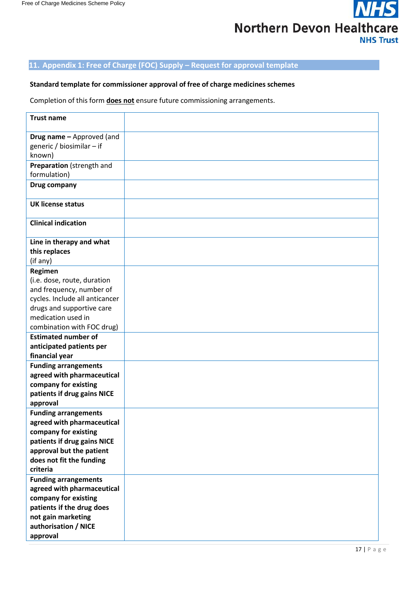![](_page_18_Picture_1.jpeg)

#### <span id="page-18-0"></span>**11. Appendix 1: Free of Charge (FOC) Supply – Request for approval template**

#### <span id="page-18-1"></span>**Standard template for commissioner approval of free of charge medicines schemes**

Completion of this form **does not** ensure future commissioning arrangements.

| <b>Trust name</b>                                                |  |
|------------------------------------------------------------------|--|
| Drug name - Approved (and<br>generic / biosimilar - if<br>known) |  |
| Preparation (strength and<br>formulation)                        |  |
| Drug company                                                     |  |
| <b>UK license status</b>                                         |  |
| <b>Clinical indication</b>                                       |  |
| Line in therapy and what                                         |  |
| this replaces                                                    |  |
| (if any)                                                         |  |
| Regimen                                                          |  |
| (i.e. dose, route, duration                                      |  |
| and frequency, number of                                         |  |
| cycles. Include all anticancer                                   |  |
| drugs and supportive care                                        |  |
| medication used in                                               |  |
| combination with FOC drug)                                       |  |
| <b>Estimated number of</b>                                       |  |
| anticipated patients per                                         |  |
| financial year                                                   |  |
| <b>Funding arrangements</b>                                      |  |
| agreed with pharmaceutical<br>company for existing               |  |
| patients if drug gains NICE                                      |  |
| approval                                                         |  |
| <b>Funding arrangements</b>                                      |  |
| agreed with pharmaceutical                                       |  |
| company for existing                                             |  |
| patients if drug gains NICE                                      |  |
| approval but the patient                                         |  |
| does not fit the funding                                         |  |
| criteria                                                         |  |
| <b>Funding arrangements</b>                                      |  |
| agreed with pharmaceutical                                       |  |
| company for existing                                             |  |
| patients if the drug does                                        |  |
| not gain marketing                                               |  |
| authorisation / NICE                                             |  |
| approval                                                         |  |